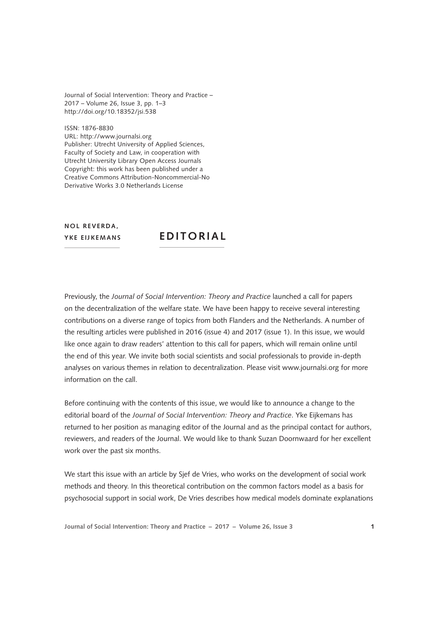Journal of Social Intervention: Theory and Practice – 2017 – Volume 26, Issue 3, pp. 1–3 [http://doi.org/10.18352/jsi.538](www.doi.org/10.18352/jsi.538)

ISSN: 1876-8830 URL:<http://www.journalsi.org> Publisher: Utrecht University of Applied Sciences, Faculty of Society and Law, in cooperation with Utrecht University Library Open Access Journals Copyright: this work has been published under a Creative Commons Attribution-Noncommercial-No Derivative Works 3.0 Netherlands License

**NOL REVERDA. YKE EIJKEMANS**

## **EDITORIAL**

Previously, the *Journal of Social Intervention: Theory and Practice* launched a call for papers on the decentralization of the welfare state. We have been happy to receive several interesting contributions on a diverse range of topics from both Flanders and the Netherlands. A number of the resulting articles were published in 2016 (issue 4) and 2017 (issue 1). In this issue, we would like once again to draw readers' attention to this call for papers, which will remain online until the end of this year. We invite both social scientists and social professionals to provide in-depth analyses on various themes in relation to decentralization. Please visit www.journalsi.org for more information on the call.

Before continuing with the contents of this issue, we would like to announce a change to the editorial board of the *Journal of Social Intervention: Theory and Practice*. Yke Eijkemans has returned to her position as managing editor of the Journal and as the principal contact for authors, reviewers, and readers of the Journal. We would like to thank Suzan Doornwaard for her excellent work over the past six months.

We start this issue with an article by Sjef de Vries, who works on the development of social work methods and theory. In this theoretical contribution on the common factors model as a basis for psychosocial support in social work, De Vries describes how medical models dominate explanations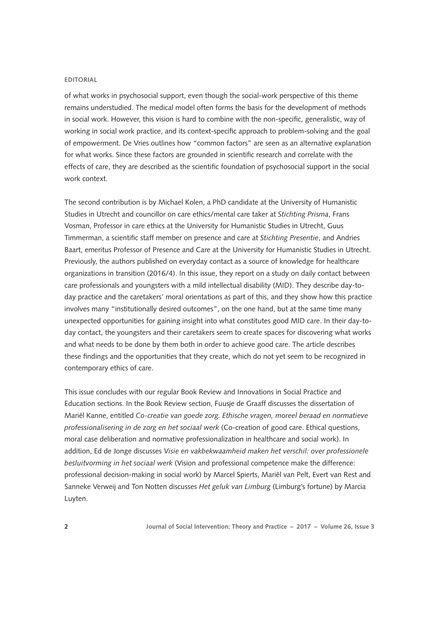## **EDITORIAL**

of what works in psychosocial support, even though the social-work perspective of this theme remains understudied. The medical model often forms the basis for the development of methods in social work. However, this vision is hard to combine with the non-specific, generalistic, way of working in social work practice, and its context-specific approach to problem-solving and the goal of empowerment. De Vries outlines how "common factors" are seen as an alternative explanation for what works. Since these factors are grounded in scientific research and correlate with the effects of care, they are described as the scientific foundation of psychosocial support in the social work context.

The second contribution is by Michael Kolen, a PhD candidate at the University of Humanistic Studies in Utrecht and councillor on care ethics/mental care taker at *Stichting Prisma*, Frans Vosman, Professor in care ethics at the University for Humanistic Studies in Utrecht, Guus Timmerman, a scientific staff member on presence and care at *Stichting Presentie*, and Andries Baart, emeritus Professor of Presence and Care at the University for Humanistic Studies in Utrecht. Previously, the authors published on everyday contact as a source of knowledge for healthcare organizations in transition (2016/4). In this issue, they report on a study on daily contact between care professionals and youngsters with a mild intellectual disability (MID). They describe day-today practice and the caretakers' moral orientations as part of this, and they show how this practice involves many "institutionally desired outcomes", on the one hand, but at the same time many unexpected opportunities for gaining insight into what constitutes good MID care. In their day-today contact, the youngsters and their caretakers seem to create spaces for discovering what works and what needs to be done by them both in order to achieve good care. The article describes these findings and the opportunities that they create, which do not yet seem to be recognized in contemporary ethics of care.

This issue concludes with our regular Book Review and Innovations in Social Practice and Education sections. In the Book Review section, Fuusje de Graaff discusses the dissertation of Mariël Kanne, entitled *Co-creatie van goede zorg. Ethische vragen, moreel beraad en normatieve professionalisering in de zorg en het sociaal werk* (Co-creation of good care. Ethical questions, moral case deliberation and normative professionalization in healthcare and social work). In addition, Ed de Jonge discusses *Visie en vakbekwaamheid maken het verschil: over professionele besluitvorming in het sociaal werk* (Vision and professional competence make the difference: professional decision-making in social work) by Marcel Spierts, Mariël van Pelt, Evert van Rest and Sanneke Verweij and Ton Notten discusses *Het geluk van Limburg* (Limburg's fortune) by Marcia Luyten.